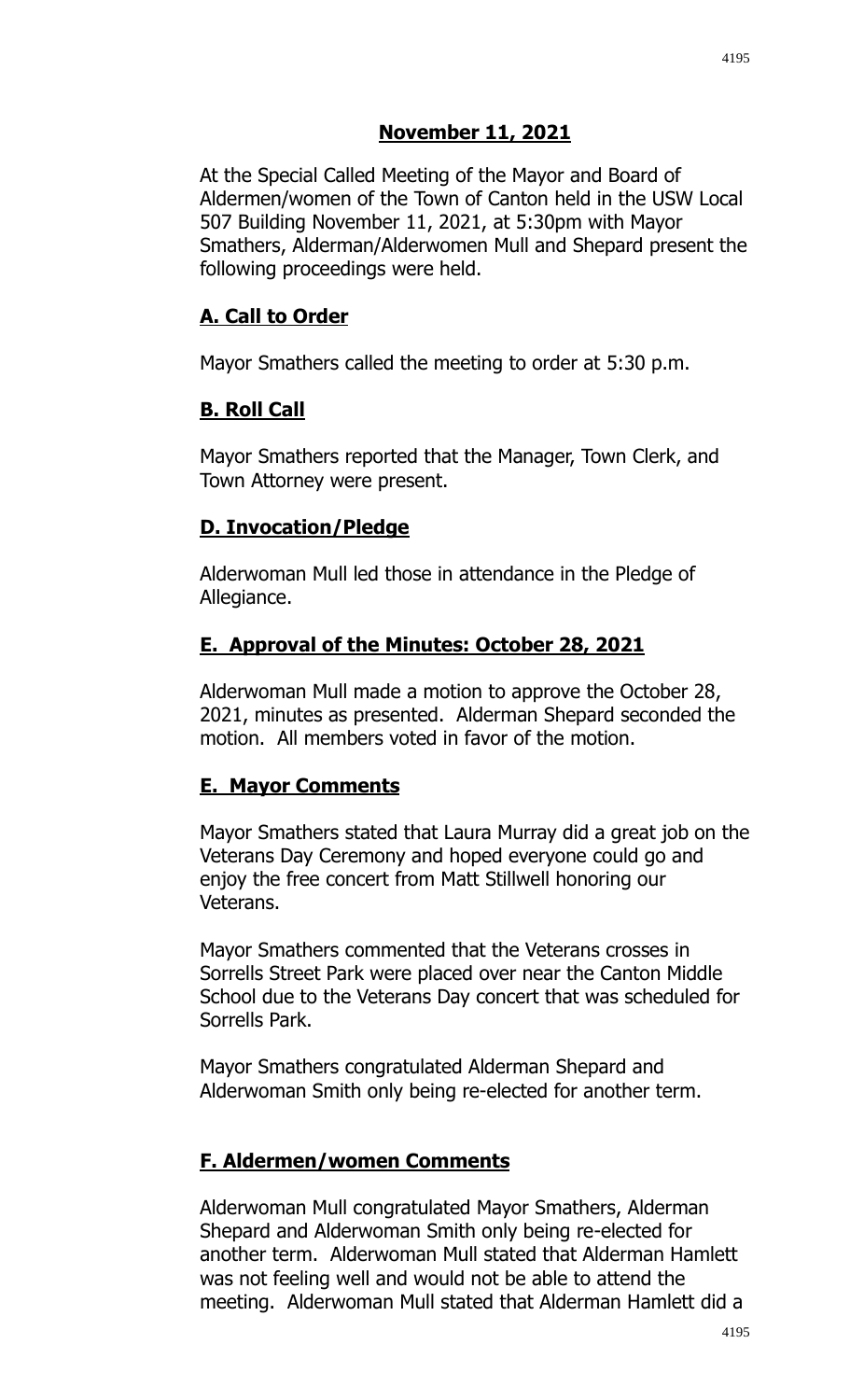# **November 11, 2021**

At the Special Called Meeting of the Mayor and Board of Aldermen/women of the Town of Canton held in the USW Local 507 Building November 11, 2021, at 5:30pm with Mayor Smathers, Alderman/Alderwomen Mull and Shepard present the following proceedings were held.

#### **A. Call to Order**

Mayor Smathers called the meeting to order at 5:30 p.m.

## **B. Roll Call**

Mayor Smathers reported that the Manager, Town Clerk, and Town Attorney were present.

## **D. Invocation/Pledge**

Alderwoman Mull led those in attendance in the Pledge of Allegiance.

#### **E. Approval of the Minutes: October 28, 2021**

Alderwoman Mull made a motion to approve the October 28, 2021, minutes as presented. Alderman Shepard seconded the motion. All members voted in favor of the motion.

# **E. Mayor Comments**

Mayor Smathers stated that Laura Murray did a great job on the Veterans Day Ceremony and hoped everyone could go and enjoy the free concert from Matt Stillwell honoring our Veterans.

Mayor Smathers commented that the Veterans crosses in Sorrells Street Park were placed over near the Canton Middle School due to the Veterans Day concert that was scheduled for Sorrells Park.

Mayor Smathers congratulated Alderman Shepard and Alderwoman Smith only being re-elected for another term.

# **F. Aldermen/women Comments**

Alderwoman Mull congratulated Mayor Smathers, Alderman Shepard and Alderwoman Smith only being re-elected for another term. Alderwoman Mull stated that Alderman Hamlett was not feeling well and would not be able to attend the meeting. Alderwoman Mull stated that Alderman Hamlett did a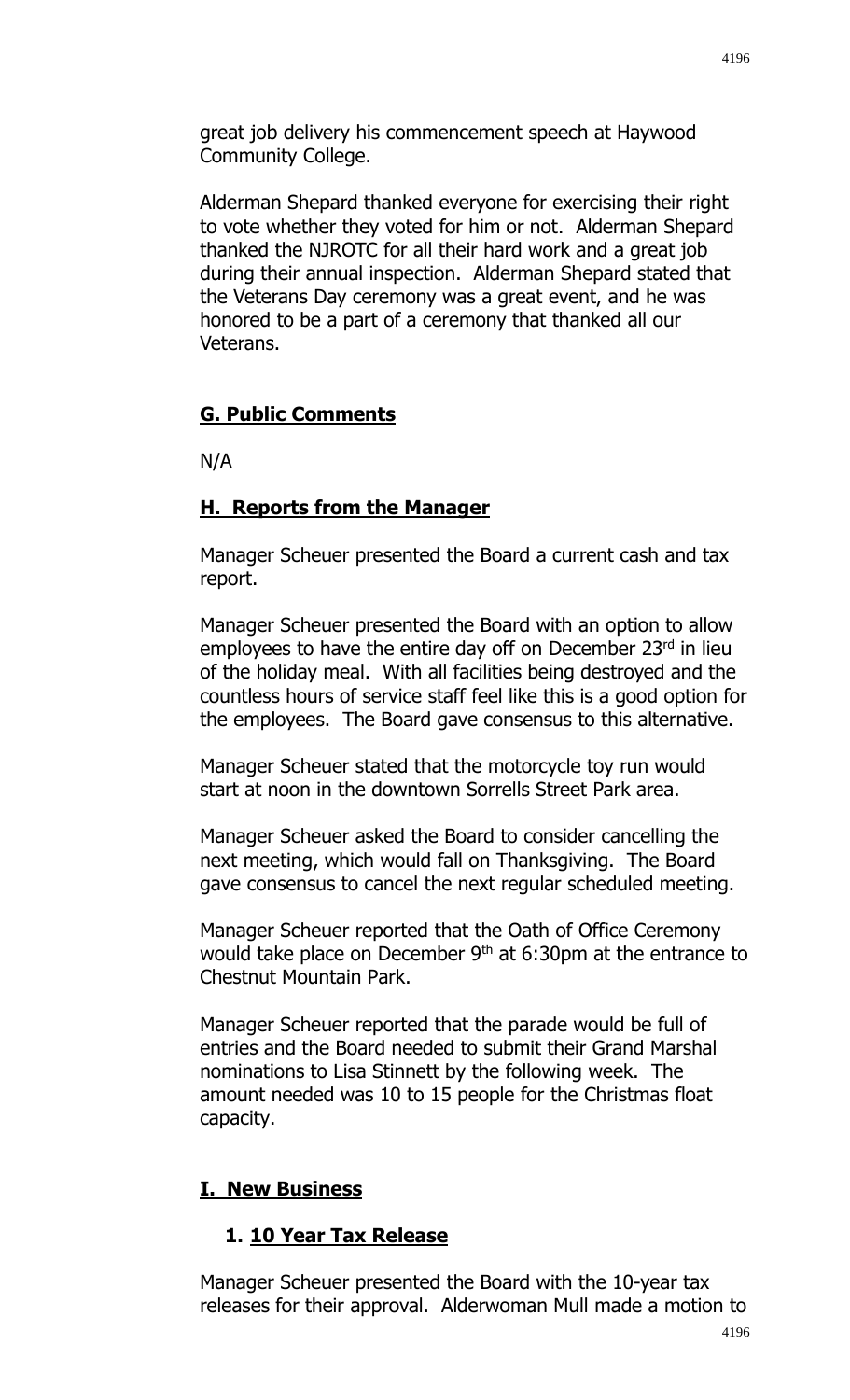great job delivery his commencement speech at Haywood Community College.

Alderman Shepard thanked everyone for exercising their right to vote whether they voted for him or not. Alderman Shepard thanked the NJROTC for all their hard work and a great job during their annual inspection. Alderman Shepard stated that the Veterans Day ceremony was a great event, and he was honored to be a part of a ceremony that thanked all our Veterans.

## **G. Public Comments**

N/A

## **H. Reports from the Manager**

Manager Scheuer presented the Board a current cash and tax report.

Manager Scheuer presented the Board with an option to allow employees to have the entire day off on December 23rd in lieu of the holiday meal. With all facilities being destroyed and the countless hours of service staff feel like this is a good option for the employees. The Board gave consensus to this alternative.

Manager Scheuer stated that the motorcycle toy run would start at noon in the downtown Sorrells Street Park area.

Manager Scheuer asked the Board to consider cancelling the next meeting, which would fall on Thanksgiving. The Board gave consensus to cancel the next regular scheduled meeting.

Manager Scheuer reported that the Oath of Office Ceremony would take place on December  $9<sup>th</sup>$  at 6:30pm at the entrance to Chestnut Mountain Park.

Manager Scheuer reported that the parade would be full of entries and the Board needed to submit their Grand Marshal nominations to Lisa Stinnett by the following week. The amount needed was 10 to 15 people for the Christmas float capacity.

#### **I. New Business**

# **1. 10 Year Tax Release**

Manager Scheuer presented the Board with the 10-year tax releases for their approval. Alderwoman Mull made a motion to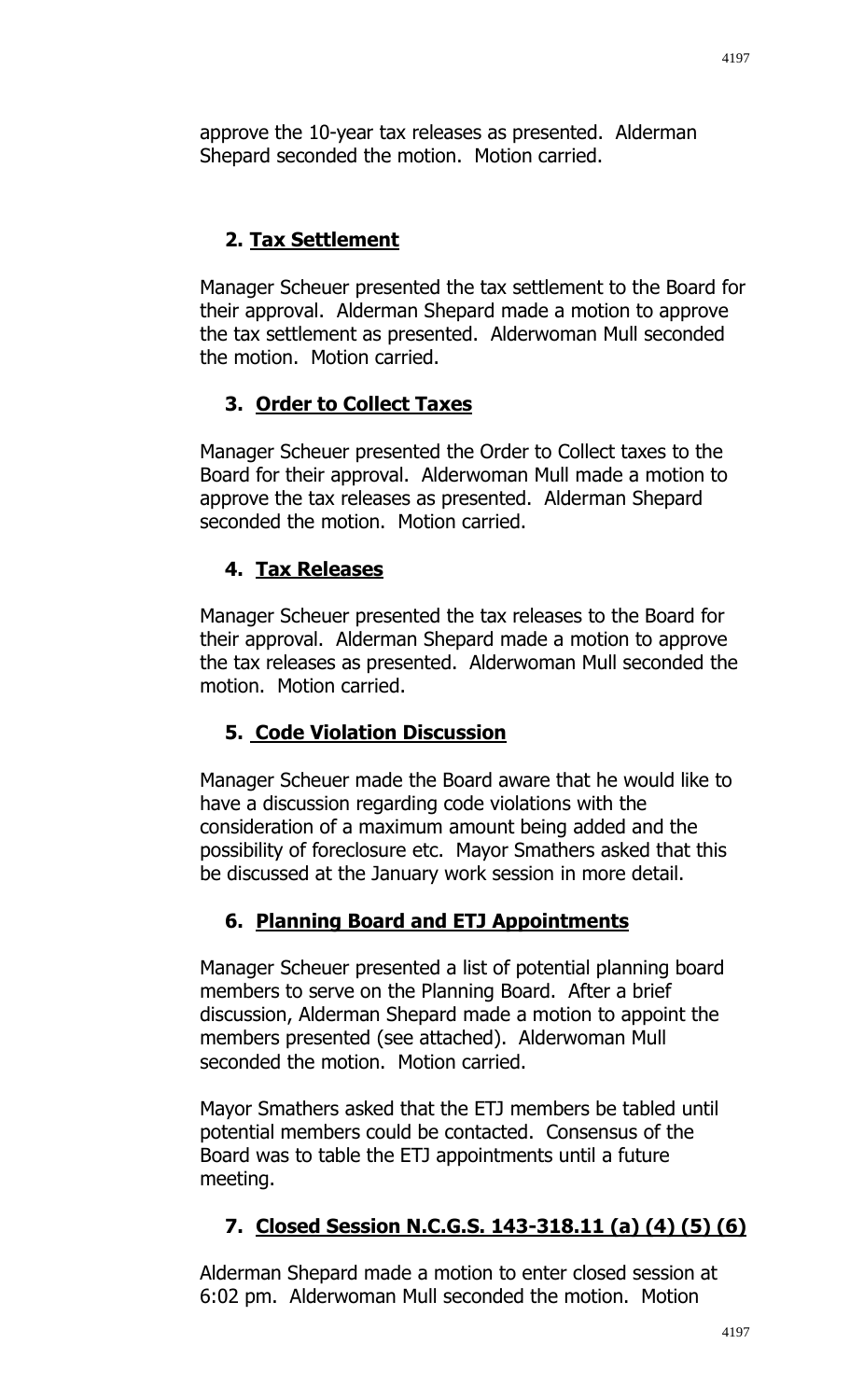approve the 10-year tax releases as presented. Alderman Shepard seconded the motion. Motion carried.

# **2. Tax Settlement**

Manager Scheuer presented the tax settlement to the Board for their approval. Alderman Shepard made a motion to approve the tax settlement as presented. Alderwoman Mull seconded the motion. Motion carried.

# **3. Order to Collect Taxes**

Manager Scheuer presented the Order to Collect taxes to the Board for their approval. Alderwoman Mull made a motion to approve the tax releases as presented. Alderman Shepard seconded the motion. Motion carried.

# **4. Tax Releases**

Manager Scheuer presented the tax releases to the Board for their approval. Alderman Shepard made a motion to approve the tax releases as presented. Alderwoman Mull seconded the motion. Motion carried.

# **5. Code Violation Discussion**

Manager Scheuer made the Board aware that he would like to have a discussion regarding code violations with the consideration of a maximum amount being added and the possibility of foreclosure etc. Mayor Smathers asked that this be discussed at the January work session in more detail.

#### **6. Planning Board and ETJ Appointments**

Manager Scheuer presented a list of potential planning board members to serve on the Planning Board. After a brief discussion, Alderman Shepard made a motion to appoint the members presented (see attached). Alderwoman Mull seconded the motion. Motion carried.

Mayor Smathers asked that the ETJ members be tabled until potential members could be contacted. Consensus of the Board was to table the ETJ appointments until a future meeting.

# **7. Closed Session N.C.G.S. 143-318.11 (a) (4) (5) (6)**

Alderman Shepard made a motion to enter closed session at 6:02 pm. Alderwoman Mull seconded the motion. Motion